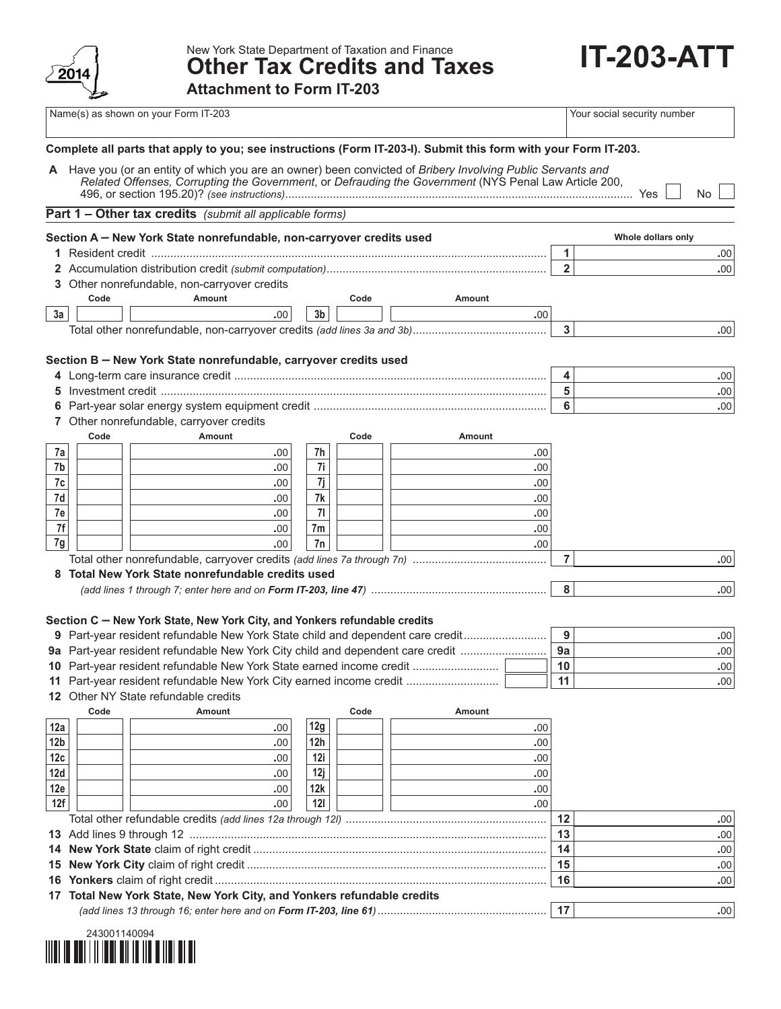

New York State Department of Taxation and Finance **Other Tax Credits and Taxes** **IT-203-ATT**

**Attachment to Form IT-203** 

|                 |      | Name(s) as shown on your Form IT-203                                                                                                                                                                                 |          |      |               |                | Your social security number |
|-----------------|------|----------------------------------------------------------------------------------------------------------------------------------------------------------------------------------------------------------------------|----------|------|---------------|----------------|-----------------------------|
|                 |      | Complete all parts that apply to you; see instructions (Form IT-203-I). Submit this form with your Form IT-203.                                                                                                      |          |      |               |                |                             |
|                 |      | A Have you (or an entity of which you are an owner) been convicted of Bribery Involving Public Servants and<br>Related Offenses, Corrupting the Government, or Defrauding the Government (NYS Penal Law Article 200, |          |      |               |                | <b>No</b>                   |
|                 |      | <b>Part 1 - Other tax credits</b> (submit all applicable forms)                                                                                                                                                      |          |      |               |                |                             |
|                 |      |                                                                                                                                                                                                                      |          |      |               |                | Whole dollars only          |
|                 |      | Section A - New York State nonrefundable, non-carryover credits used                                                                                                                                                 |          |      |               | 1              | .00                         |
|                 |      |                                                                                                                                                                                                                      |          |      |               | $\overline{2}$ | .00                         |
|                 |      | 3 Other nonrefundable, non-carryover credits                                                                                                                                                                         |          |      |               |                |                             |
|                 | Code | Amount                                                                                                                                                                                                               |          | Code | Amount        |                |                             |
| 3a              |      | .00                                                                                                                                                                                                                  | 3b       |      | .00.          |                |                             |
|                 |      |                                                                                                                                                                                                                      |          |      |               | $\mathbf{3}$   | .00                         |
| 5<br>6          |      | Section B - New York State nonrefundable, carryover credits used                                                                                                                                                     |          |      |               | 4<br>5<br>6    | .00<br>.00<br>.00           |
|                 |      | 7 Other nonrefundable, carryover credits                                                                                                                                                                             |          |      |               |                |                             |
|                 | Code | <b>Amount</b>                                                                                                                                                                                                        |          | Code | <b>Amount</b> |                |                             |
| 7a              |      | .00                                                                                                                                                                                                                  | 7h       |      | .00           |                |                             |
| 7b              |      | .00                                                                                                                                                                                                                  | 7i       |      | .00           |                |                             |
| 7c              |      | .00                                                                                                                                                                                                                  | 7j       |      | .00           |                |                             |
| 7d              |      | .00                                                                                                                                                                                                                  | 7k       |      | .00           |                |                             |
| 7e<br>7f        |      | .00                                                                                                                                                                                                                  | 71       |      | .00           |                |                             |
| 7g              |      | .00<br>.00                                                                                                                                                                                                           | 7m<br>7n |      | .00<br>.00    |                |                             |
|                 |      |                                                                                                                                                                                                                      |          |      |               | $\overline{7}$ | .00                         |
| 8               |      | Total New York State nonrefundable credits used                                                                                                                                                                      |          |      |               |                |                             |
|                 |      |                                                                                                                                                                                                                      |          |      |               | 8              | .00                         |
|                 |      |                                                                                                                                                                                                                      |          |      |               |                |                             |
|                 |      | Section C - New York State, New York City, and Yonkers refundable credits                                                                                                                                            |          |      |               |                |                             |
|                 |      | 9 Part-year resident refundable New York State child and dependent care credit                                                                                                                                       |          |      |               | 9              | .00                         |
|                 |      | 9a Part-year resident refundable New York City child and dependent care credit                                                                                                                                       |          |      |               | 9a             | .00                         |
|                 |      | 10 Part-year resident refundable New York State earned income credit                                                                                                                                                 |          |      |               | 10             | .00                         |
|                 |      | 11 Part-year resident refundable New York City earned income credit                                                                                                                                                  |          |      |               | 11             | .00                         |
|                 |      | 12 Other NY State refundable credits                                                                                                                                                                                 |          |      |               |                |                             |
|                 | Code | <b>Amount</b>                                                                                                                                                                                                        |          | Code | Amount        |                |                             |
| 12a             |      | .00                                                                                                                                                                                                                  | 12g      |      | .00           |                |                             |
| 12 <sub>b</sub> |      | .00                                                                                                                                                                                                                  | 12h      |      | .00           |                |                             |
| 12c             |      | .00                                                                                                                                                                                                                  | 12i      |      | .00           |                |                             |
| 12d             |      | .00                                                                                                                                                                                                                  | 12j      |      | .00           |                |                             |
| 12e             |      | .00                                                                                                                                                                                                                  | 12k      |      | .00           |                |                             |
| 12f             |      | .00                                                                                                                                                                                                                  | 121      |      | .00.          |                |                             |
|                 |      |                                                                                                                                                                                                                      |          |      |               | 12             | .00                         |
| 13              |      |                                                                                                                                                                                                                      |          |      |               | 13             | .00                         |
| 14              |      |                                                                                                                                                                                                                      |          |      |               | 14             | .00                         |
| 15              |      |                                                                                                                                                                                                                      |          |      |               | 15             | .00                         |
| 16              |      |                                                                                                                                                                                                                      |          |      |               | 16             | .00                         |
|                 |      | 17 Total New York State, New York City, and Yonkers refundable credits                                                                                                                                               |          |      |               |                |                             |
|                 |      |                                                                                                                                                                                                                      |          |      |               | 17             | .00                         |